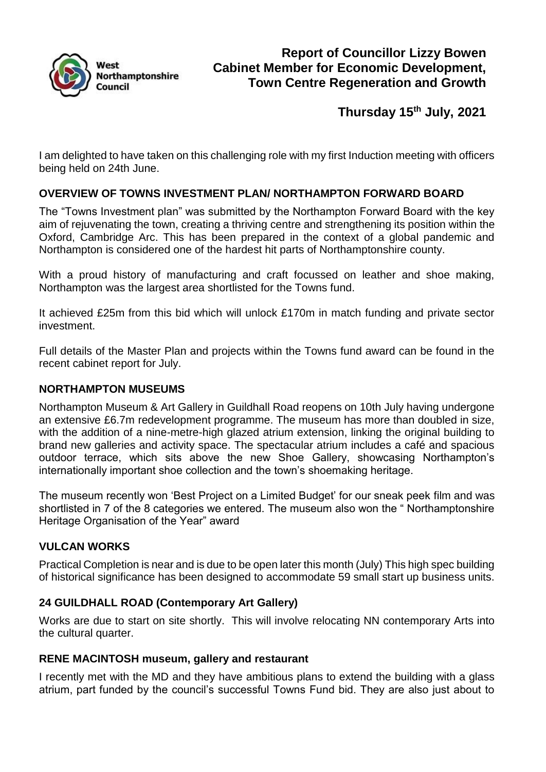

**Thursday 15th July, 2021**

I am delighted to have taken on this challenging role with my first Induction meeting with officers being held on 24th June.

# **OVERVIEW OF TOWNS INVESTMENT PLAN/ NORTHAMPTON FORWARD BOARD**

The "Towns Investment plan" was submitted by the Northampton Forward Board with the key aim of rejuvenating the town, creating a thriving centre and strengthening its position within the Oxford, Cambridge Arc. This has been prepared in the context of a global pandemic and Northampton is considered one of the hardest hit parts of Northamptonshire county.

With a proud history of manufacturing and craft focussed on leather and shoe making, Northampton was the largest area shortlisted for the Towns fund.

It achieved £25m from this bid which will unlock £170m in match funding and private sector investment.

Full details of the Master Plan and projects within the Towns fund award can be found in the recent cabinet report for July.

### **NORTHAMPTON MUSEUMS**

Northampton Museum & Art Gallery in Guildhall Road reopens on 10th July having undergone an extensive £6.7m redevelopment programme. The museum has more than doubled in size, with the addition of a nine-metre-high glazed atrium extension, linking the original building to brand new galleries and activity space. The spectacular atrium includes a café and spacious outdoor terrace, which sits above the new Shoe Gallery, showcasing Northampton's internationally important shoe collection and the town's shoemaking heritage.

The museum recently won 'Best Project on a Limited Budget' for our sneak peek film and was shortlisted in 7 of the 8 categories we entered. The museum also won the " Northamptonshire Heritage Organisation of the Year" award

## **VULCAN WORKS**

Practical Completion is near and is due to be open later this month (July) This high spec building of historical significance has been designed to accommodate 59 small start up business units.

## **24 GUILDHALL ROAD (Contemporary Art Gallery)**

Works are due to start on site shortly. This will involve relocating NN contemporary Arts into the cultural quarter.

### **RENE MACINTOSH museum, gallery and restaurant**

I recently met with the MD and they have ambitious plans to extend the building with a glass atrium, part funded by the council's successful Towns Fund bid. They are also just about to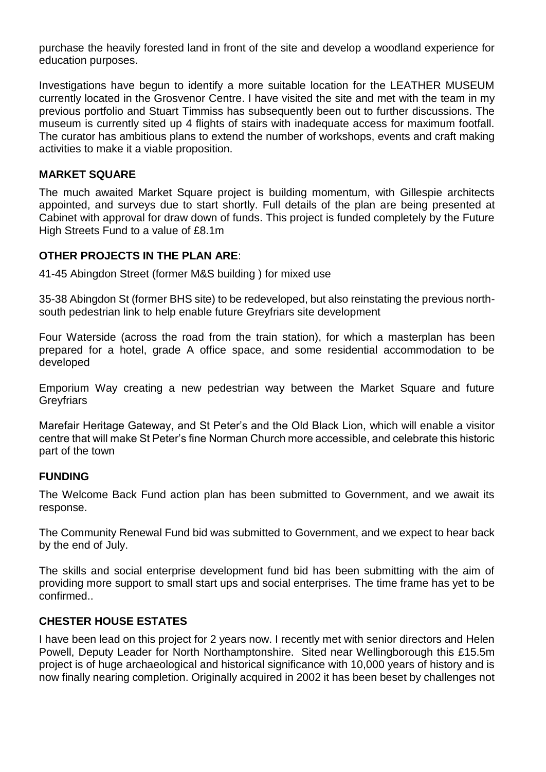purchase the heavily forested land in front of the site and develop a woodland experience for education purposes.

Investigations have begun to identify a more suitable location for the LEATHER MUSEUM currently located in the Grosvenor Centre. I have visited the site and met with the team in my previous portfolio and Stuart Timmiss has subsequently been out to further discussions. The museum is currently sited up 4 flights of stairs with inadequate access for maximum footfall. The curator has ambitious plans to extend the number of workshops, events and craft making activities to make it a viable proposition.

### **MARKET SQUARE**

The much awaited Market Square project is building momentum, with Gillespie architects appointed, and surveys due to start shortly. Full details of the plan are being presented at Cabinet with approval for draw down of funds. This project is funded completely by the Future High Streets Fund to a value of £8.1m

### **OTHER PROJECTS IN THE PLAN ARE**:

41-45 Abingdon Street (former M&S building ) for mixed use

35-38 Abingdon St (former BHS site) to be redeveloped, but also reinstating the previous northsouth pedestrian link to help enable future Greyfriars site development

Four Waterside (across the road from the train station), for which a masterplan has been prepared for a hotel, grade A office space, and some residential accommodation to be developed

Emporium Way creating a new pedestrian way between the Market Square and future **Greyfriars** 

Marefair Heritage Gateway, and St Peter's and the Old Black Lion, which will enable a visitor centre that will make St Peter's fine Norman Church more accessible, and celebrate this historic part of the town

### **FUNDING**

The Welcome Back Fund action plan has been submitted to Government, and we await its response.

The Community Renewal Fund bid was submitted to Government, and we expect to hear back by the end of July.

The skills and social enterprise development fund bid has been submitting with the aim of providing more support to small start ups and social enterprises. The time frame has yet to be confirmed..

## **CHESTER HOUSE ESTATES**

I have been lead on this project for 2 years now. I recently met with senior directors and Helen Powell, Deputy Leader for North Northamptonshire. Sited near Wellingborough this £15.5m project is of huge archaeological and historical significance with 10,000 years of history and is now finally nearing completion. Originally acquired in 2002 it has been beset by challenges not